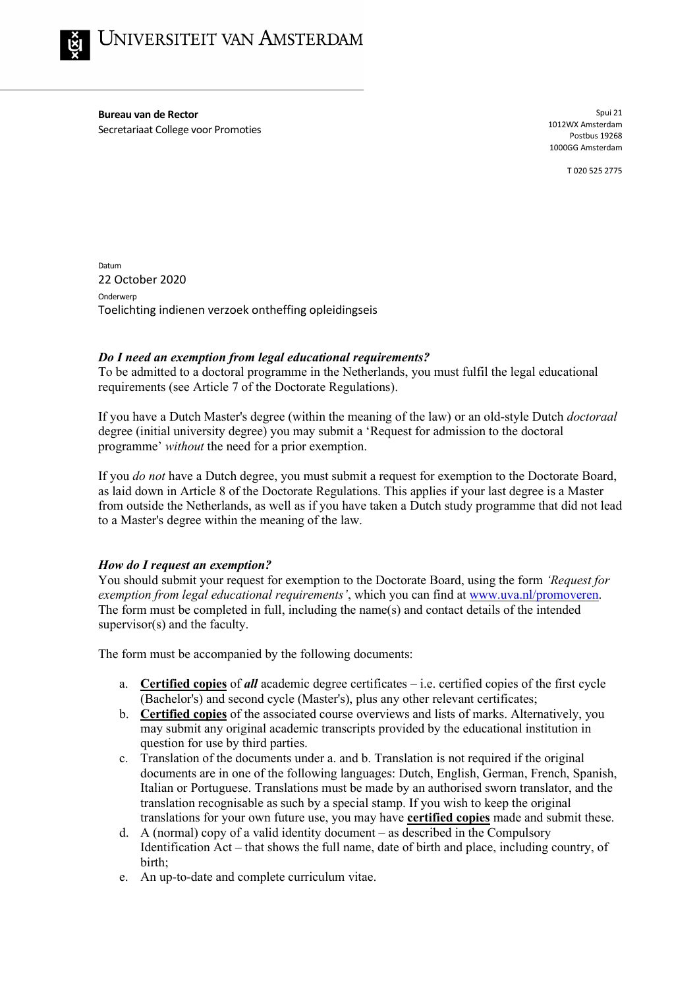

**Bureau van de Rector** Secretariaat College voor Promoties

Spui 21 1012WX Amsterdam Postbus 19268 1000GG Amsterdam

T 020 525 2775

Datum 22 October 2020 **Onderwerp** Toelichting indienen verzoek ontheffing opleidingseis

# *Do I need an exemption from legal educational requirements?*

To be admitted to a doctoral programme in the Netherlands, you must fulfil the legal educational requirements (see Article 7 of the Doctorate Regulations).

If you have a Dutch Master's degree (within the meaning of the law) or an old-style Dutch *doctoraal* degree (initial university degree) you may submit a 'Request for admission to the doctoral programme' *without* the need for a prior exemption.

If you *do not* have a Dutch degree, you must submit a request for exemption to the Doctorate Board, as laid down in Article 8 of the Doctorate Regulations. This applies if your last degree is a Master from outside the Netherlands, as well as if you have taken a Dutch study programme that did not lead to a Master's degree within the meaning of the law.

### *How do I request an exemption?*

You should submit your request for exemption to the Doctorate Board, using the form *'Request for exemption from legal educational requirements'*, which you can find at [www.uva.nl/promoveren.](http://www.uva.nl/promoveren) The form must be completed in full, including the name(s) and contact details of the intended supervisor(s) and the faculty.

The form must be accompanied by the following documents:

- a. **Certified copies** of *all* academic degree certificates i.e. certified copies of the first cycle (Bachelor's) and second cycle (Master's), plus any other relevant certificates;
- b. **Certified copies** of the associated course overviews and lists of marks. Alternatively, you may submit any original academic transcripts provided by the educational institution in question for use by third parties.
- c. Translation of the documents under a. and b. Translation is not required if the original documents are in one of the following languages: Dutch, English, German, French, Spanish, Italian or Portuguese. Translations must be made by an authorised sworn translator, and the translation recognisable as such by a special stamp. If you wish to keep the original translations for your own future use, you may have **certified copies** made and submit these.
- d. A (normal) copy of a valid identity document as described in the Compulsory Identification Act – that shows the full name, date of birth and place, including country, of birth;
- e. An up-to-date and complete curriculum vitae.